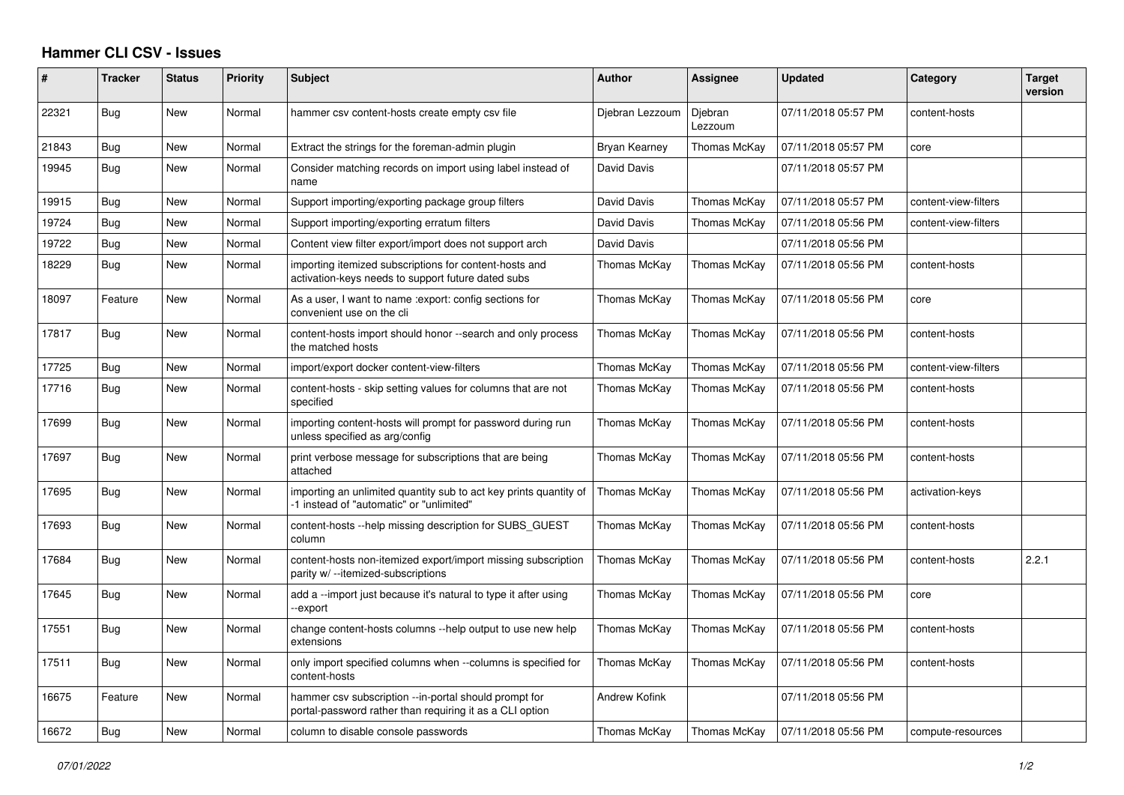## **Hammer CLI CSV - Issues**

| #     | <b>Tracker</b> | <b>Status</b> | <b>Priority</b> | <b>Subject</b>                                                                                                    | <b>Author</b>        | Assignee           | <b>Updated</b>      | Category             | <b>Target</b><br>version |
|-------|----------------|---------------|-----------------|-------------------------------------------------------------------------------------------------------------------|----------------------|--------------------|---------------------|----------------------|--------------------------|
| 22321 | Bug            | <b>New</b>    | Normal          | hammer csv content-hosts create empty csv file                                                                    | Djebran Lezzoum      | Djebran<br>Lezzoum | 07/11/2018 05:57 PM | content-hosts        |                          |
| 21843 | Bug            | New           | Normal          | Extract the strings for the foreman-admin plugin                                                                  | Bryan Kearney        | Thomas McKay       | 07/11/2018 05:57 PM | core                 |                          |
| 19945 | Bug            | New           | Normal          | Consider matching records on import using label instead of<br>name                                                | David Davis          |                    | 07/11/2018 05:57 PM |                      |                          |
| 19915 | Bug            | <b>New</b>    | Normal          | Support importing/exporting package group filters                                                                 | David Davis          | Thomas McKay       | 07/11/2018 05:57 PM | content-view-filters |                          |
| 19724 | Bug            | New           | Normal          | Support importing/exporting erratum filters                                                                       | David Davis          | Thomas McKay       | 07/11/2018 05:56 PM | content-view-filters |                          |
| 19722 | Bug            | <b>New</b>    | Normal          | Content view filter export/import does not support arch                                                           | David Davis          |                    | 07/11/2018 05:56 PM |                      |                          |
| 18229 | Bug            | <b>New</b>    | Normal          | importing itemized subscriptions for content-hosts and<br>activation-keys needs to support future dated subs      | Thomas McKay         | Thomas McKay       | 07/11/2018 05:56 PM | content-hosts        |                          |
| 18097 | Feature        | New           | Normal          | As a user, I want to name : export: config sections for<br>convenient use on the cli                              | Thomas McKay         | Thomas McKay       | 07/11/2018 05:56 PM | core                 |                          |
| 17817 | Bug            | New           | Normal          | content-hosts import should honor --search and only process<br>the matched hosts                                  | Thomas McKay         | Thomas McKay       | 07/11/2018 05:56 PM | content-hosts        |                          |
| 17725 | Bug            | New           | Normal          | import/export docker content-view-filters                                                                         | Thomas McKay         | Thomas McKay       | 07/11/2018 05:56 PM | content-view-filters |                          |
| 17716 | Bug            | <b>New</b>    | Normal          | content-hosts - skip setting values for columns that are not<br>specified                                         | Thomas McKay         | Thomas McKay       | 07/11/2018 05:56 PM | content-hosts        |                          |
| 17699 | Bug            | <b>New</b>    | Normal          | importing content-hosts will prompt for password during run<br>unless specified as arg/config                     | Thomas McKay         | Thomas McKay       | 07/11/2018 05:56 PM | content-hosts        |                          |
| 17697 | Bug            | New           | Normal          | print verbose message for subscriptions that are being<br>attached                                                | Thomas McKay         | Thomas McKay       | 07/11/2018 05:56 PM | content-hosts        |                          |
| 17695 | Bug            | New           | Normal          | importing an unlimited quantity sub to act key prints quantity of<br>-1 instead of "automatic" or "unlimited"     | Thomas McKay         | Thomas McKay       | 07/11/2018 05:56 PM | activation-keys      |                          |
| 17693 | Bug            | New           | Normal          | content-hosts --help missing description for SUBS GUEST<br>column                                                 | Thomas McKay         | Thomas McKay       | 07/11/2018 05:56 PM | content-hosts        |                          |
| 17684 | Bug            | New           | Normal          | content-hosts non-itemized export/import missing subscription<br>parity w/ --itemized-subscriptions               | Thomas McKay         | Thomas McKay       | 07/11/2018 05:56 PM | content-hosts        | 2.2.1                    |
| 17645 | Bug            | New           | Normal          | add a --import just because it's natural to type it after using<br>-export                                        | Thomas McKay         | Thomas McKay       | 07/11/2018 05:56 PM | core                 |                          |
| 17551 | Bug            | <b>New</b>    | Normal          | change content-hosts columns --help output to use new help<br>extensions                                          | Thomas McKay         | Thomas McKay       | 07/11/2018 05:56 PM | content-hosts        |                          |
| 17511 | Bug            | New           | Normal          | only import specified columns when --columns is specified for<br>content-hosts                                    | Thomas McKay         | Thomas McKay       | 07/11/2018 05:56 PM | content-hosts        |                          |
| 16675 | Feature        | New           | Normal          | hammer csv subscription --in-portal should prompt for<br>portal-password rather than requiring it as a CLI option | <b>Andrew Kofink</b> |                    | 07/11/2018 05:56 PM |                      |                          |
| 16672 | Bug            | New           | Normal          | column to disable console passwords                                                                               | Thomas McKay         | Thomas McKay       | 07/11/2018 05:56 PM | compute-resources    |                          |